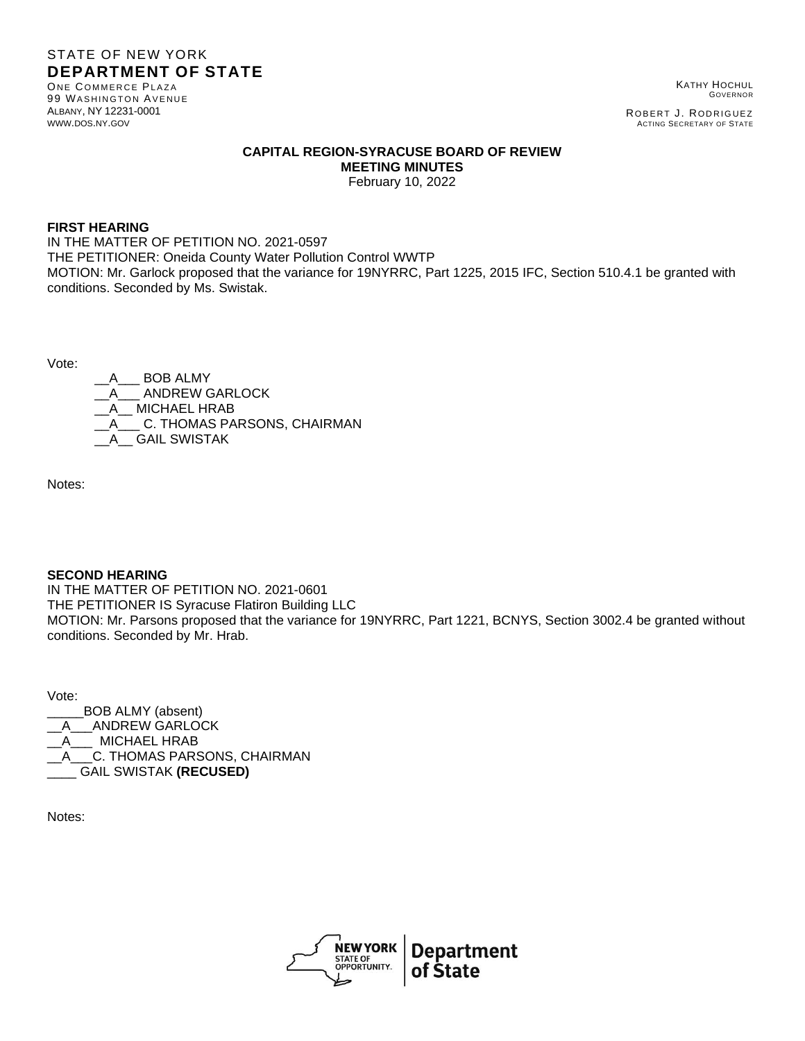# STATE OF NEW YORK **DEPARTMENT OF STATE**

ONE COMMERCE PLAZA 99 WASHINGTON AVENUE ALBANY, NY 12231-0001 [WWW](http://www.dos.ny.gov/).DOS.NY.GOV

KATHY HOCHUL GOVERNOR

ROBERT J. RODRIGUEZ ACTING SECRETARY OF STATE

## **CAPITAL REGION-SYRACUSE BOARD OF REVIEW MEETING MINUTES**

February 10, 2022

#### **FIRST HEARING**

IN THE MATTER OF PETITION NO. 2021-0597 THE PETITIONER: Oneida County Water Pollution Control WWTP MOTION: Mr. Garlock proposed that the variance for 19NYRRC, Part 1225, 2015 IFC, Section 510.4.1 be granted with conditions. Seconded by Ms. Swistak.

Vote:

A BOB ALMY \_\_A\_\_\_ ANDREW GARLOCK MICHAEL HRAB C. THOMAS PARSONS, CHAIRMAN GAIL SWISTAK

Notes:

## **SECOND HEARING**

IN THE MATTER OF PETITION NO. 2021-0601 THE PETITIONER IS Syracuse Flatiron Building LLC MOTION: Mr. Parsons proposed that the variance for 19NYRRC, Part 1221, BCNYS, Section 3002.4 be granted without conditions. Seconded by Mr. Hrab.

Vote:

\_\_\_\_\_BOB ALMY (absent) A ANDREW GARLOCK \_\_A\_\_\_ MICHAEL HRAB A C. THOMAS PARSONS, CHAIRMAN \_\_\_\_ GAIL SWISTAK **(RECUSED)**

Notes: